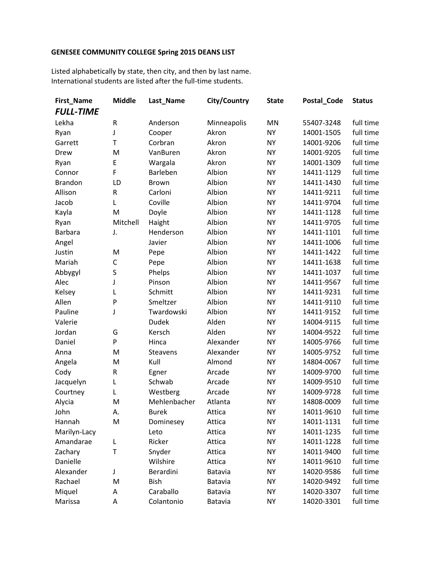## **GENESEE COMMUNITY COLLEGE Spring 2015 DEANS LIST**

Listed alphabetically by state, then city, and then by last name. International students are listed after the full-time students.

| First_Name       | <b>Middle</b> | Last_Name       | <b>City/Country</b> | <b>State</b> | Postal_Code | <b>Status</b> |
|------------------|---------------|-----------------|---------------------|--------------|-------------|---------------|
| <b>FULL-TIME</b> |               |                 |                     |              |             |               |
| Lekha            | ${\sf R}$     | Anderson        | Minneapolis         | MN           | 55407-3248  | full time     |
| Ryan             | J             | Cooper          | Akron               | <b>NY</b>    | 14001-1505  | full time     |
| Garrett          | $\mathsf{T}$  | Corbran         | Akron               | <b>NY</b>    | 14001-9206  | full time     |
| Drew             | M             | VanBuren        | Akron               | <b>NY</b>    | 14001-9205  | full time     |
| Ryan             | E             | Wargala         | Akron               | <b>NY</b>    | 14001-1309  | full time     |
| Connor           | F             | Barleben        | Albion              | <b>NY</b>    | 14411-1129  | full time     |
| <b>Brandon</b>   | LD            | Brown           | Albion              | <b>NY</b>    | 14411-1430  | full time     |
| Allison          | ${\sf R}$     | Carloni         | Albion              | <b>NY</b>    | 14411-9211  | full time     |
| Jacob            | L             | Coville         | Albion              | <b>NY</b>    | 14411-9704  | full time     |
| Kayla            | M             | Doyle           | Albion              | <b>NY</b>    | 14411-1128  | full time     |
| Ryan             | Mitchell      | Haight          | Albion              | <b>NY</b>    | 14411-9705  | full time     |
| <b>Barbara</b>   | J.            | Henderson       | Albion              | <b>NY</b>    | 14411-1101  | full time     |
| Angel            |               | Javier          | Albion              | <b>NY</b>    | 14411-1006  | full time     |
| Justin           | M             | Pepe            | Albion              | <b>NY</b>    | 14411-1422  | full time     |
| Mariah           | $\mathsf C$   | Pepe            | Albion              | <b>NY</b>    | 14411-1638  | full time     |
| Abbygyl          | S             | Phelps          | Albion              | <b>NY</b>    | 14411-1037  | full time     |
| Alec             | J             | Pinson          | Albion              | <b>NY</b>    | 14411-9567  | full time     |
| Kelsey           | L             | Schmitt         | Albion              | <b>NY</b>    | 14411-9231  | full time     |
| Allen            | P             | Smeltzer        | Albion              | <b>NY</b>    | 14411-9110  | full time     |
| Pauline          | J             | Twardowski      | Albion              | <b>NY</b>    | 14411-9152  | full time     |
| Valerie          |               | <b>Dudek</b>    | Alden               | <b>NY</b>    | 14004-9115  | full time     |
| Jordan           | G             | Kersch          | Alden               | <b>NY</b>    | 14004-9522  | full time     |
| Daniel           | P             | Hinca           | Alexander           | <b>NY</b>    | 14005-9766  | full time     |
| Anna             | M             | <b>Steavens</b> | Alexander           | <b>NY</b>    | 14005-9752  | full time     |
| Angela           | M             | Kull            | Almond              | <b>NY</b>    | 14804-0067  | full time     |
| Cody             | ${\sf R}$     | Egner           | Arcade              | <b>NY</b>    | 14009-9700  | full time     |
| Jacquelyn        | L             | Schwab          | Arcade              | <b>NY</b>    | 14009-9510  | full time     |
| Courtney         | Г             | Westberg        | Arcade              | <b>NY</b>    | 14009-9728  | full time     |
| Alycia           | M             | Mehlenbacher    | Atlanta             | <b>NY</b>    | 14808-0009  | full time     |
| John             | А.            | <b>Burek</b>    | Attica              | <b>NY</b>    | 14011-9610  | full time     |
| Hannah           | M             | Dominesey       | Attica              | NY           | 14011-1131  | full time     |
| Marilyn-Lacy     |               | Leto            | Attica              | <b>NY</b>    | 14011-1235  | full time     |
| Amandarae        | L             | Ricker          | Attica              | <b>NY</b>    | 14011-1228  | full time     |
| Zachary          | T             | Snyder          | Attica              | NY           | 14011-9400  | full time     |
| Danielle         |               | Wilshire        | Attica              | NY           | 14011-9610  | full time     |
| Alexander        | J             | Berardini       | Batavia             | <b>NY</b>    | 14020-9586  | full time     |
| Rachael          | M             | Bish            | Batavia             | NY           | 14020-9492  | full time     |
| Miquel           | Α             | Caraballo       | Batavia             | NY           | 14020-3307  | full time     |
| Marissa          | А             | Colantonio      | Batavia             | NY           | 14020-3301  | full time     |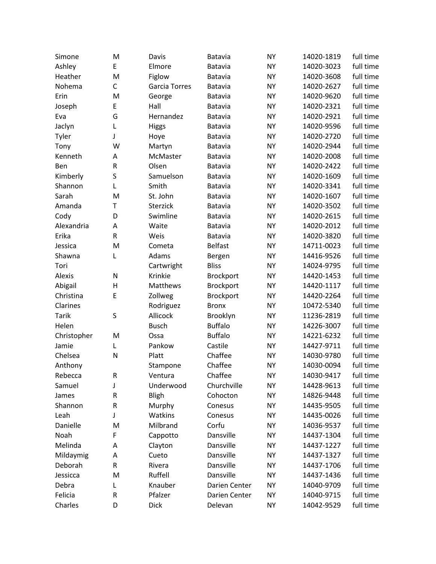| Simone       | M            | Davis         | Batavia          | <b>NY</b> | 14020-1819 | full time |
|--------------|--------------|---------------|------------------|-----------|------------|-----------|
| Ashley       | E            | Elmore        | Batavia          | <b>NY</b> | 14020-3023 | full time |
| Heather      | M            | Figlow        | Batavia          | <b>NY</b> | 14020-3608 | full time |
| Nohema       | $\mathsf{C}$ | Garcia Torres | <b>Batavia</b>   | <b>NY</b> | 14020-2627 | full time |
| Erin         | M            | George        | Batavia          | <b>NY</b> | 14020-9620 | full time |
| Joseph       | E            | Hall          | Batavia          | <b>NY</b> | 14020-2321 | full time |
| Eva          | G            | Hernandez     | <b>Batavia</b>   | <b>NY</b> | 14020-2921 | full time |
| Jaclyn       | L            | <b>Higgs</b>  | Batavia          | <b>NY</b> | 14020-9596 | full time |
| Tyler        | J            | Hoye          | Batavia          | <b>NY</b> | 14020-2720 | full time |
| Tony         | W            | Martyn        | <b>Batavia</b>   | <b>NY</b> | 14020-2944 | full time |
| Kenneth      | А            | McMaster      | Batavia          | <b>NY</b> | 14020-2008 | full time |
| Ben          | ${\sf R}$    | Olsen         | Batavia          | <b>NY</b> | 14020-2422 | full time |
| Kimberly     | S            | Samuelson     | <b>Batavia</b>   | <b>NY</b> | 14020-1609 | full time |
| Shannon      | L            | Smith         | Batavia          | <b>NY</b> | 14020-3341 | full time |
| Sarah        | M            | St. John      | Batavia          | <b>NY</b> | 14020-1607 | full time |
| Amanda       | Τ            | Sterzick      | <b>Batavia</b>   | <b>NY</b> | 14020-3502 | full time |
| Cody         | D            | Swimline      | Batavia          | <b>NY</b> | 14020-2615 | full time |
| Alexandria   | A            | Waite         | Batavia          | <b>NY</b> | 14020-2012 | full time |
| Erika        | R            | Weis          | Batavia          | <b>NY</b> | 14020-3820 | full time |
| Jessica      | M            | Cometa        | <b>Belfast</b>   | <b>NY</b> | 14711-0023 | full time |
| Shawna       | L            | Adams         | Bergen           | <b>NY</b> | 14416-9526 | full time |
| Tori         |              | Cartwright    | <b>Bliss</b>     | <b>NY</b> | 14024-9795 | full time |
| Alexis       | N            | Krinkie       | <b>Brockport</b> | <b>NY</b> | 14420-1453 | full time |
| Abigail      | H            | Matthews      | Brockport        | <b>NY</b> | 14420-1117 | full time |
| Christina    | E            | Zollweg       | <b>Brockport</b> | <b>NY</b> | 14420-2264 | full time |
| Clarines     |              | Rodriguez     | <b>Bronx</b>     | <b>NY</b> | 10472-5340 | full time |
| <b>Tarik</b> | S            | Allicock      | Brooklyn         | <b>NY</b> | 11236-2819 | full time |
| Helen        |              | <b>Busch</b>  | <b>Buffalo</b>   | <b>NY</b> | 14226-3007 | full time |
| Christopher  | M            | Ossa          | <b>Buffalo</b>   | <b>NY</b> | 14221-6232 | full time |
| Jamie        | L            | Pankow        | Castile          | <b>NY</b> | 14427-9711 | full time |
| Chelsea      | N            | Platt         | Chaffee          | <b>NY</b> | 14030-9780 | full time |
| Anthony      |              | Stampone      | Chaffee          | <b>NY</b> | 14030-0094 | full time |
| Rebecca      | R            | Ventura       | Chaffee          | <b>NY</b> | 14030-9417 | full time |
| Samuel       | J            | Underwood     | Churchville      | <b>NY</b> | 14428-9613 | full time |
| James        | R            | Bligh         | Cohocton         | NY        | 14826-9448 | full time |
| Shannon      | ${\sf R}$    | Murphy        | Conesus          | NY        | 14435-9505 | full time |
| Leah         | J            | Watkins       | Conesus          | NY        | 14435-0026 | full time |
| Danielle     | M            | Milbrand      | Corfu            | <b>NY</b> | 14036-9537 | full time |
| Noah         | F            | Cappotto      | Dansville        | <b>NY</b> | 14437-1304 | full time |
| Melinda      | Α            | Clayton       | Dansville        | <b>NY</b> | 14437-1227 | full time |
| Mildaymig    | А            | Cueto         | Dansville        | <b>NY</b> | 14437-1327 | full time |
| Deborah      | R            | Rivera        | Dansville        | <b>NY</b> | 14437-1706 | full time |
| Jessicca     | M            | Ruffell       | Dansville        | NY        | 14437-1436 | full time |
| Debra        | L            | Knauber       | Darien Center    | <b>NY</b> | 14040-9709 | full time |
| Felicia      | R            | Pfalzer       | Darien Center    | <b>NY</b> | 14040-9715 | full time |
| Charles      | D            | <b>Dick</b>   |                  |           |            | full time |
|              |              |               | Delevan          | <b>NY</b> | 14042-9529 |           |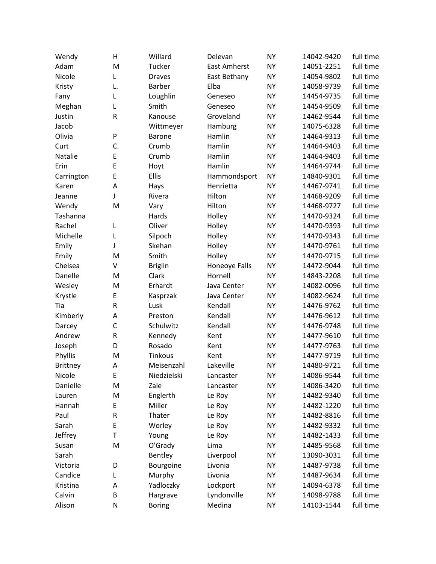| Wendy           | н            | Willard        | Delevan             | <b>NY</b> | 14042-9420 | full time |
|-----------------|--------------|----------------|---------------------|-----------|------------|-----------|
| Adam            | M            | Tucker         | <b>East Amherst</b> | <b>NY</b> | 14051-2251 | full time |
| Nicole          | L            | <b>Draves</b>  | East Bethany        | <b>NY</b> | 14054-9802 | full time |
| Kristy          | L.           | Barber         | Elba                | <b>NY</b> | 14058-9739 | full time |
| Fany            | L            | Loughlin       | Geneseo             | <b>NY</b> | 14454-9735 | full time |
| Meghan          | L            | Smith          | Geneseo             | <b>NY</b> | 14454-9509 | full time |
| Justin          | R            | Kanouse        | Groveland           | <b>NY</b> | 14462-9544 | full time |
| Jacob           |              | Wittmeyer      | Hamburg             | <b>NY</b> | 14075-6328 | full time |
| Olivia          | P            | <b>Barone</b>  | Hamlin              | <b>NY</b> | 14464-9313 | full time |
| Curt            | C.           | Crumb          | Hamlin              | <b>NY</b> | 14464-9403 | full time |
| Natalie         | E            | Crumb          | Hamlin              | <b>NY</b> | 14464-9403 | full time |
| Erin            | E            | Hoyt           | Hamlin              | <b>NY</b> | 14464-9744 | full time |
| Carrington      | E            | Ellis          | Hammondsport        | <b>NY</b> | 14840-9301 | full time |
| Karen           | A            | Hays           | Henrietta           | <b>NY</b> | 14467-9741 | full time |
| Jeanne          | J            | Rivera         | Hilton              | <b>NY</b> | 14468-9209 | full time |
| Wendy           | M            | Vary           | Hilton              | <b>NY</b> | 14468-9727 | full time |
| Tashanna        |              | Hards          | Holley              | <b>NY</b> | 14470-9324 | full time |
| Rachel          | L            | Oliver         | Holley              | <b>NY</b> | 14470-9393 | full time |
| Michelle        | L            | Silpoch        | Holley              | <b>NY</b> | 14470-9343 | full time |
| Emily           | J            | Skehan         | Holley              | <b>NY</b> | 14470-9761 | full time |
| Emily           | M            | Smith          | Holley              | <b>NY</b> | 14470-9715 | full time |
| Chelsea         | V            | <b>Briglin</b> | Honeoye Falls       | <b>NY</b> | 14472-9044 | full time |
| Danelle         | M            | Clark          | Hornell             | <b>NY</b> | 14843-2208 | full time |
| Wesley          | M            | Erhardt        | Java Center         | <b>NY</b> | 14082-0096 | full time |
| Krystle         | E            | Kasprzak       | Java Center         | <b>NY</b> | 14082-9624 | full time |
| Tia             | ${\sf R}$    | Lusk           | Kendall             | <b>NY</b> | 14476-9762 | full time |
| Kimberly        | A            | Preston        | Kendall             | <b>NY</b> | 14476-9612 | full time |
| Darcey          | $\mathsf{C}$ | Schulwitz      | Kendall             | <b>NY</b> | 14476-9748 | full time |
| Andrew          | ${\sf R}$    | Kennedy        | Kent                | <b>NY</b> | 14477-9610 | full time |
| Joseph          | D            | Rosado         | Kent                | <b>NY</b> | 14477-9763 | full time |
| Phyllis         | M            | Tinkous        | Kent                | <b>NY</b> | 14477-9719 | full time |
| <b>Brittney</b> | А            | Meisenzahl     | Lakeville           | <b>NY</b> | 14480-9721 | full time |
| Nicole          | E            | Niedzielski    | Lancaster           | <b>NY</b> | 14086-9544 | full time |
| Danielle        | M            | Zale           | Lancaster           | <b>NY</b> | 14086-3420 | full time |
| Lauren          | M            | Englerth       | Le Roy              | <b>NY</b> | 14482-9340 | full time |
| Hannah          | E            | Miller         | Le Roy              | <b>NY</b> | 14482-1220 | full time |
| Paul            | R            | Thater         | Le Roy              | NY        | 14482-8816 | full time |
| Sarah           | E            | Worley         | Le Roy              | <b>NY</b> | 14482-9332 | full time |
| Jeffrey         | T            | Young          | Le Roy              | <b>NY</b> | 14482-1433 | full time |
| Susan           | M            | O'Grady        | Lima                | NY        | 14485-9568 | full time |
| Sarah           |              | Bentley        | Liverpool           | <b>NY</b> | 13090-3031 | full time |
| Victoria        | D            | Bourgoine      | Livonia             | <b>NY</b> | 14487-9738 | full time |
| Candice         | L            | Murphy         | Livonia             | NY        | 14487-9634 | full time |
| Kristina        | А            | Yadloczky      | Lockport            | NY        | 14094-6378 | full time |
| Calvin          | B            | Hargrave       | Lyndonville         | NY        | 14098-9788 | full time |
| Alison          | N            | <b>Boring</b>  | Medina              | NY        | 14103-1544 | full time |
|                 |              |                |                     |           |            |           |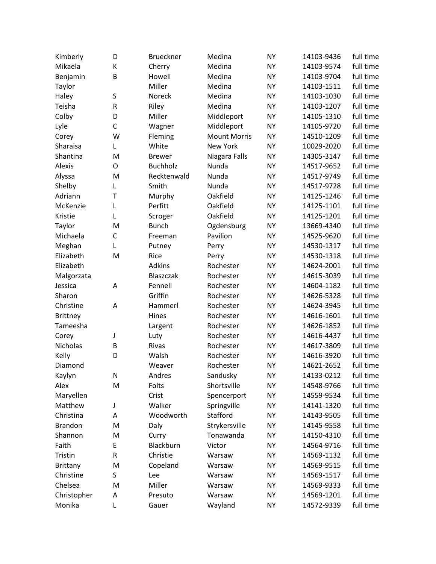| Kimberly        | D            | <b>Brueckner</b> | Medina              | <b>NY</b> | 14103-9436 | full time |
|-----------------|--------------|------------------|---------------------|-----------|------------|-----------|
| Mikaela         | К            | Cherry           | Medina              | <b>NY</b> | 14103-9574 | full time |
| Benjamin        | B            | Howell           | Medina              | <b>NY</b> | 14103-9704 | full time |
| Taylor          |              | Miller           | Medina              | <b>NY</b> | 14103-1511 | full time |
| Haley           | S            | Noreck           | Medina              | <b>NY</b> | 14103-1030 | full time |
| Teisha          | ${\sf R}$    | Riley            | Medina              | <b>NY</b> | 14103-1207 | full time |
| Colby           | D            | Miller           | Middleport          | <b>NY</b> | 14105-1310 | full time |
| Lyle            | $\mathsf{C}$ | Wagner           | Middleport          | <b>NY</b> | 14105-9720 | full time |
| Corey           | W            | Fleming          | <b>Mount Morris</b> | <b>NY</b> | 14510-1209 | full time |
| Sharaisa        | Г            | White            | New York            | <b>NY</b> | 10029-2020 | full time |
| Shantina        | M            | <b>Brewer</b>    | Niagara Falls       | <b>NY</b> | 14305-3147 | full time |
| Alexis          | O            | <b>Buchholz</b>  | Nunda               | <b>NY</b> | 14517-9652 | full time |
| Alyssa          | M            | Recktenwald      | Nunda               | <b>NY</b> | 14517-9749 | full time |
| Shelby          | L            | Smith            | Nunda               | <b>NY</b> | 14517-9728 | full time |
| Adriann         | $\mathsf{T}$ | Murphy           | Oakfield            | <b>NY</b> | 14125-1246 | full time |
| McKenzie        | L            | Perfitt          | Oakfield            | <b>NY</b> | 14125-1101 | full time |
| Kristie         | L            | Scroger          | Oakfield            | <b>NY</b> | 14125-1201 | full time |
| Taylor          | M            | <b>Bunch</b>     | Ogdensburg          | <b>NY</b> | 13669-4340 | full time |
| Michaela        | $\mathsf C$  | Freeman          | Pavilion            | <b>NY</b> | 14525-9620 | full time |
| Meghan          | Г            | Putney           | Perry               | <b>NY</b> | 14530-1317 | full time |
| Elizabeth       | M            | Rice             | Perry               | <b>NY</b> | 14530-1318 | full time |
| Elizabeth       |              | Adkins           | Rochester           | <b>NY</b> | 14624-2001 | full time |
| Malgorzata      |              | Blaszczak        | Rochester           | <b>NY</b> | 14615-3039 | full time |
| Jessica         | Α            | Fennell          | Rochester           | <b>NY</b> | 14604-1182 | full time |
| Sharon          |              | Griffin          | Rochester           | <b>NY</b> | 14626-5328 | full time |
| Christine       | Α            | Hammerl          | Rochester           | <b>NY</b> | 14624-3945 | full time |
| <b>Brittney</b> |              | Hines            | Rochester           | <b>NY</b> | 14616-1601 | full time |
| Tameesha        |              | Largent          | Rochester           | <b>NY</b> | 14626-1852 | full time |
| Corey           | J            | Luty             | Rochester           | <b>NY</b> | 14616-4437 | full time |
| Nicholas        | B            | Rivas            | Rochester           | <b>NY</b> | 14617-3809 | full time |
| Kelly           | D            | Walsh            | Rochester           | <b>NY</b> | 14616-3920 | full time |
| Diamond         |              | Weaver           | Rochester           | <b>NY</b> | 14621-2652 | full time |
| Kaylyn          | N            | Andres           | Sandusky            | <b>NY</b> | 14133-0212 | full time |
| Alex            | M            | Folts            | Shortsville         | NY        | 14548-9766 | full time |
| Maryellen       |              | Crist            | Spencerport         | <b>NY</b> | 14559-9534 | full time |
| Matthew         | J            | Walker           | Springville         | NY        | 14141-1320 | full time |
| Christina       | А            | Woodworth        | Stafford            | NY        | 14143-9505 | full time |
| <b>Brandon</b>  | M            | Daly             | Strykersville       | <b>NY</b> | 14145-9558 | full time |
| Shannon         | M            | Curry            | Tonawanda           | <b>NY</b> | 14150-4310 | full time |
| Faith           | E            | Blackburn        | Victor              | NY        | 14564-9716 | full time |
| <b>Tristin</b>  | R            | Christie         | Warsaw              | <b>NY</b> | 14569-1132 | full time |
| Brittany        | M            | Copeland         | Warsaw              | <b>NY</b> | 14569-9515 | full time |
| Christine       | S            | Lee              | Warsaw              | NY        | 14569-1517 | full time |
| Chelsea         | M            | Miller           | Warsaw              | <b>NY</b> | 14569-9333 | full time |
| Christopher     | Α            | Presuto          | Warsaw              | <b>NY</b> | 14569-1201 | full time |
| Monika          | L            | Gauer            | Wayland             | <b>NY</b> | 14572-9339 | full time |
|                 |              |                  |                     |           |            |           |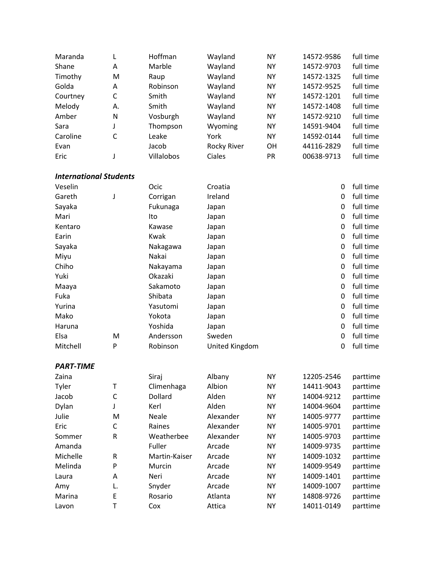| Maranda  |    | Hoffman    | Wayland            | ΝY        | 14572-9586 | full time |
|----------|----|------------|--------------------|-----------|------------|-----------|
| Shane    | A  | Marble     | Wayland            | ΝY        | 14572-9703 | full time |
| Timothy  | M  | Raup       | Wayland            | ΝY        | 14572-1325 | full time |
| Golda    | A  | Robinson   | Wayland            | ΝY        | 14572-9525 | full time |
| Courtney | C  | Smith      | Wayland            | ΝY        | 14572-1201 | full time |
| Melody   | А. | Smith      | Wayland            | ΝY        | 14572-1408 | full time |
| Amber    | N  | Vosburgh   | Wayland            | <b>NY</b> | 14572-9210 | full time |
| Sara     |    | Thompson   | Wyoming            | ΝY        | 14591-9404 | full time |
| Caroline | C  | Leake      | York               | ΝY        | 14592-0144 | full time |
| Evan     |    | Jacob      | <b>Rocky River</b> | <b>OH</b> | 44116-2829 | full time |
| Eric     |    | Villalobos | Ciales             | PR        | 00638-9713 | full time |

## *International Students*

| Veselin  |   | Ocic      | Croatia        | 0 | full time |
|----------|---|-----------|----------------|---|-----------|
| Gareth   | J | Corrigan  | Ireland        | 0 | full time |
| Sayaka   |   | Fukunaga  | Japan          | 0 | full time |
| Mari     |   | Ito       | Japan          | 0 | full time |
| Kentaro  |   | Kawase    | Japan          | 0 | full time |
| Earin    |   | Kwak      | Japan          | 0 | full time |
| Sayaka   |   | Nakagawa  | Japan          | 0 | full time |
| Miyu     |   | Nakai     | Japan          | 0 | full time |
| Chiho    |   | Nakayama  | Japan          | 0 | full time |
| Yuki     |   | Okazaki   | Japan          | 0 | full time |
| Maaya    |   | Sakamoto  | Japan          | 0 | full time |
| Fuka     |   | Shibata   | Japan          | 0 | full time |
| Yurina   |   | Yasutomi  | Japan          | 0 | full time |
| Mako     |   | Yokota    | Japan          | 0 | full time |
| Haruna   |   | Yoshida   | Japan          | 0 | full time |
| Elsa     | M | Andersson | Sweden         | 0 | full time |
| Mitchell | P | Robinson  | United Kingdom | 0 | full time |

## *PART-TIME*

| Zaina    |    | Siraj         | Albany    | <b>NY</b> | 12205-2546 | parttime |
|----------|----|---------------|-----------|-----------|------------|----------|
| Tyler    | Τ  | Climenhaga    | Albion    | ΝY        | 14411-9043 | parttime |
| Jacob    | C  | Dollard       | Alden     | <b>NY</b> | 14004-9212 | parttime |
| Dylan    |    | Kerl          | Alden     | ΝY        | 14004-9604 | parttime |
| Julie    | М  | Neale         | Alexander | <b>NY</b> | 14005-9777 | parttime |
| Eric     | C  | Raines        | Alexander | <b>NY</b> | 14005-9701 | parttime |
| Sommer   | R  | Weatherbee    | Alexander | <b>NY</b> | 14005-9703 | parttime |
| Amanda   |    | Fuller        | Arcade    | ΝY        | 14009-9735 | parttime |
| Michelle | R  | Martin-Kaiser | Arcade    | <b>NY</b> | 14009-1032 | parttime |
| Melinda  | P  | Murcin        | Arcade    | ΝY        | 14009-9549 | parttime |
| Laura    | A  | Neri          | Arcade    | <b>NY</b> | 14009-1401 | parttime |
| Amy      | L. | Snyder        | Arcade    | <b>NY</b> | 14009-1007 | parttime |
| Marina   | E  | Rosario       | Atlanta   | <b>NY</b> | 14808-9726 | parttime |
| Lavon    |    | Cox           | Attica    | <b>NY</b> | 14011-0149 | parttime |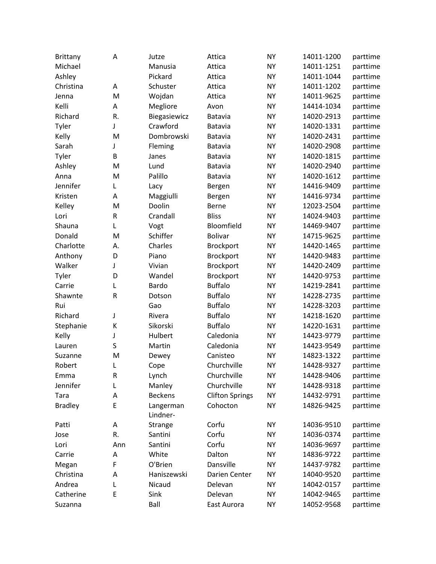| <b>Brittany</b> | Α         | Jutze          | Attica                 | <b>NY</b> | 14011-1200 | parttime |
|-----------------|-----------|----------------|------------------------|-----------|------------|----------|
| Michael         |           | Manusia        | Attica                 | <b>NY</b> | 14011-1251 | parttime |
| Ashley          |           | Pickard        | Attica                 | <b>NY</b> | 14011-1044 | parttime |
| Christina       | А         | Schuster       | Attica                 | <b>NY</b> | 14011-1202 | parttime |
| Jenna           | M         | Wojdan         | Attica                 | <b>NY</b> | 14011-9625 | parttime |
| Kelli           | A         | Megliore       | Avon                   | <b>NY</b> | 14414-1034 | parttime |
| Richard         | R.        | Biegasiewicz   | Batavia                | <b>NY</b> | 14020-2913 | parttime |
| Tyler           | J         | Crawford       | Batavia                | <b>NY</b> | 14020-1331 | parttime |
| Kelly           | M         | Dombrowski     | Batavia                | <b>NY</b> | 14020-2431 | parttime |
| Sarah           | J         | Fleming        | <b>Batavia</b>         | <b>NY</b> | 14020-2908 | parttime |
| Tyler           | B         | Janes          | Batavia                | <b>NY</b> | 14020-1815 | parttime |
| Ashley          | M         | Lund           | Batavia                | <b>NY</b> | 14020-2940 | parttime |
| Anna            | M         | Palillo        | <b>Batavia</b>         | <b>NY</b> | 14020-1612 | parttime |
| Jennifer        | L         | Lacy           | Bergen                 | <b>NY</b> | 14416-9409 | parttime |
| Kristen         | A         | Maggiulli      | Bergen                 | <b>NY</b> | 14416-9734 | parttime |
| Kelley          | M         | Doolin         | Berne                  | <b>NY</b> | 12023-2504 | parttime |
| Lori            | R         | Crandall       | <b>Bliss</b>           | <b>NY</b> | 14024-9403 | parttime |
| Shauna          | L         | Vogt           | Bloomfield             | <b>NY</b> | 14469-9407 | parttime |
| Donald          | M         | Schiffer       | <b>Bolivar</b>         | <b>NY</b> | 14715-9625 | parttime |
| Charlotte       | А.        | Charles        | <b>Brockport</b>       | <b>NY</b> | 14420-1465 | parttime |
| Anthony         | D         | Piano          | Brockport              | <b>NY</b> | 14420-9483 | parttime |
| Walker          | J         | Vivian         | Brockport              | <b>NY</b> | 14420-2409 | parttime |
| Tyler           | D         | Wandel         | Brockport              | <b>NY</b> | 14420-9753 | parttime |
| Carrie          | L         | Bardo          | <b>Buffalo</b>         | <b>NY</b> | 14219-2841 | parttime |
| Shawnte         | ${\sf R}$ | Dotson         | <b>Buffalo</b>         | <b>NY</b> | 14228-2735 | parttime |
| Rui             |           | Gao            | <b>Buffalo</b>         | <b>NY</b> | 14228-3203 | parttime |
| Richard         | J         | Rivera         | <b>Buffalo</b>         | <b>NY</b> | 14218-1620 | parttime |
| Stephanie       | К         | Sikorski       | <b>Buffalo</b>         | <b>NY</b> | 14220-1631 | parttime |
| Kelly           | J         | Hulbert        | Caledonia              | <b>NY</b> | 14423-9779 | parttime |
| Lauren          | S         | Martin         | Caledonia              | <b>NY</b> | 14423-9549 | parttime |
| Suzanne         | M         | Dewey          | Canisteo               | <b>NY</b> | 14823-1322 | parttime |
| Robert          | L         | Cope           | Churchville            | <b>NY</b> | 14428-9327 | parttime |
| Emma            | R         | Lynch          | Churchville            | <b>NY</b> | 14428-9406 | parttime |
| Jennifer        | L         | Manley         | Churchville            | <b>NY</b> | 14428-9318 | parttime |
| Tara            | A         | <b>Beckens</b> | <b>Clifton Springs</b> | <b>NY</b> | 14432-9791 | parttime |
| <b>Bradley</b>  | E         | Langerman      | Cohocton               | <b>NY</b> | 14826-9425 | parttime |
|                 |           | Lindner-       |                        |           |            |          |
| Patti           | Α         | <b>Strange</b> | Corfu                  | <b>NY</b> | 14036-9510 | parttime |
| Jose            | R.        | Santini        | Corfu                  | <b>NY</b> | 14036-0374 | parttime |
| Lori            | Ann       | Santini        | Corfu                  | <b>NY</b> | 14036-9697 | parttime |
| Carrie          | Α         | White          | Dalton                 | <b>NY</b> | 14836-9722 | parttime |
| Megan           | F         | O'Brien        | Dansville              | <b>NY</b> | 14437-9782 | parttime |
| Christina       | Α         | Haniszewski    | Darien Center          | <b>NY</b> | 14040-9520 | parttime |
| Andrea          | L         | Nicaud         | Delevan                | <b>NY</b> | 14042-0157 | parttime |
| Catherine       | E         | Sink           | Delevan                | <b>NY</b> | 14042-9465 | parttime |
| Suzanna         |           | Ball           | East Aurora            | <b>NY</b> | 14052-9568 | parttime |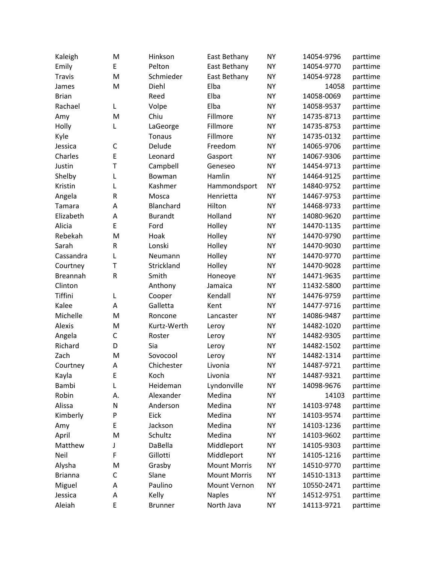| Kaleigh         | M            | Hinkson        | East Bethany        | <b>NY</b> | 14054-9796 | parttime |
|-----------------|--------------|----------------|---------------------|-----------|------------|----------|
| Emily           | E            | Pelton         | East Bethany        | <b>NY</b> | 14054-9770 | parttime |
| <b>Travis</b>   | M            | Schmieder      | East Bethany        | <b>NY</b> | 14054-9728 | parttime |
| James           | M            | Diehl          | Elba                | <b>NY</b> | 14058      | parttime |
| <b>Brian</b>    |              | Reed           | Elba                | <b>NY</b> | 14058-0069 | parttime |
| Rachael         | Г            | Volpe          | Elba                | <b>NY</b> | 14058-9537 | parttime |
| Amy             | M            | Chiu           | Fillmore            | <b>NY</b> | 14735-8713 | parttime |
| Holly           | L            | LaGeorge       | Fillmore            | <b>NY</b> | 14735-8753 | parttime |
| Kyle            |              | Tonaus         | Fillmore            | <b>NY</b> | 14735-0132 | parttime |
| Jessica         | $\mathsf{C}$ | Delude         | Freedom             | <b>NY</b> | 14065-9706 | parttime |
| Charles         | E            | Leonard        | Gasport             | <b>NY</b> | 14067-9306 | parttime |
| Justin          | $\mathsf{T}$ | Campbell       | Geneseo             | <b>NY</b> | 14454-9713 | parttime |
| Shelby          | L            | Bowman         | Hamlin              | <b>NY</b> | 14464-9125 | parttime |
| Kristin         | L            | Kashmer        | Hammondsport        | <b>NY</b> | 14840-9752 | parttime |
| Angela          | $\mathsf R$  | Mosca          | Henrietta           | <b>NY</b> | 14467-9753 | parttime |
| Tamara          | A            | Blanchard      | Hilton              | <b>NY</b> | 14468-9733 | parttime |
| Elizabeth       | A            | <b>Burandt</b> | Holland             | <b>NY</b> | 14080-9620 | parttime |
| Alicia          | E            | Ford           | Holley              | <b>NY</b> | 14470-1135 | parttime |
| Rebekah         | M            | Hoak           | Holley              | <b>NY</b> | 14470-9790 | parttime |
| Sarah           | ${\sf R}$    | Lonski         | Holley              | <b>NY</b> | 14470-9030 | parttime |
| Cassandra       | L            | Neumann        | Holley              | <b>NY</b> | 14470-9770 | parttime |
| Courtney        | Τ            | Strickland     | Holley              | <b>NY</b> | 14470-9028 | parttime |
| <b>Breannah</b> | ${\sf R}$    | Smith          | Honeoye             | <b>NY</b> | 14471-9635 | parttime |
| Clinton         |              | Anthony        | Jamaica             | <b>NY</b> | 11432-5800 | parttime |
| Tiffini         | L            | Cooper         | Kendall             | <b>NY</b> | 14476-9759 | parttime |
| Kalee           | A            | Galletta       | Kent                | <b>NY</b> | 14477-9716 | parttime |
| Michelle        | M            | Roncone        | Lancaster           | <b>NY</b> | 14086-9487 | parttime |
| Alexis          | M            | Kurtz-Werth    | Leroy               | <b>NY</b> | 14482-1020 | parttime |
| Angela          | $\mathsf{C}$ | Roster         | Leroy               | <b>NY</b> | 14482-9305 | parttime |
| Richard         | D            | Sia            | Leroy               | <b>NY</b> | 14482-1502 | parttime |
| Zach            | M            | Sovocool       | Leroy               | <b>NY</b> | 14482-1314 | parttime |
| Courtney        | А            | Chichester     | Livonia             | <b>NY</b> | 14487-9721 | parttime |
| Kayla           | Ε            | Koch           | Livonia             | <b>NY</b> | 14487-9321 | parttime |
| Bambi           | L            | Heideman       | Lyndonville         | <b>NY</b> | 14098-9676 | parttime |
| Robin           | Α.           | Alexander      | Medina              | <b>NY</b> | 14103      | parttime |
| Alissa          | N            | Anderson       | Medina              | <b>NY</b> | 14103-9748 | parttime |
| Kimberly        | P            | Eick           | Medina              | <b>NY</b> | 14103-9574 | parttime |
| Amy             | E            | Jackson        | Medina              | <b>NY</b> | 14103-1236 | parttime |
| April           | M            | Schultz        | Medina              | <b>NY</b> | 14103-9602 | parttime |
| Matthew         | J            | DaBella        | Middleport          | NY        | 14105-9303 | parttime |
| Neil            | F            | Gillotti       | Middleport          | <b>NY</b> | 14105-1216 | parttime |
| Alysha          | M            | Grasby         | <b>Mount Morris</b> | <b>NY</b> | 14510-9770 | parttime |
| <b>Brianna</b>  | C            | Slane          | <b>Mount Morris</b> | <b>NY</b> | 14510-1313 | parttime |
| Miguel          | Α            | Paulino        | Mount Vernon        | <b>NY</b> | 10550-2471 | parttime |
| Jessica         | Α            | Kelly          | <b>Naples</b>       | <b>NY</b> | 14512-9751 | parttime |
| Aleiah          | E            | <b>Brunner</b> | North Java          | <b>NY</b> | 14113-9721 | parttime |
|                 |              |                |                     |           |            |          |